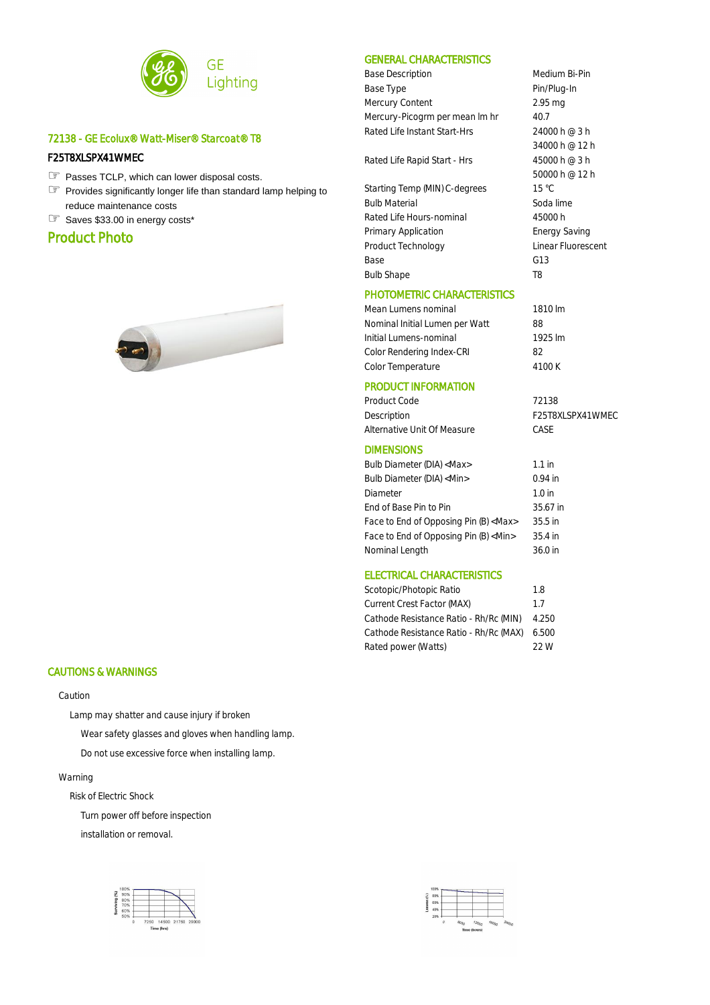

# 72138 - GE Ecolux® Watt-Miser® Starcoat® T8

#### F25T8XLSPX41WMEC

- ☞ Passes TCLP, which can lower disposal costs.
- Provides significantly longer life than standard lamp helping to ☞ reduce maintenance costs
- ☞ Saves \$33.00 in energy costs\*

# Product Photo



#### CAUTIONS & WARNINGS

#### Caution

Lamp may shatter and cause injury if broken

Wear safety glasses and gloves when handling lamp.

Do not use excessive force when installing lamp.

#### Warning

Risk of Electric Shock

Turn power off before inspection

installation or removal.



### GENERAL CHARACTERISTICS

Base Description and Medium Bi-Pin Base Type **Pin/Plug-In** Mercury Content 2.95 mg Mercury-Picogrm per mean Im hr 40.7 Rated Life Instant Start-Hrs 24000 h @ 3 h

Rated Life Rapid Start - Hrs 45000 h @ 3 h

Starting Temp (MIN) C-degrees 15 °C Bulb Material Soda lime Rated Life Hours-nominal 45000 h Primary Application **Energy Saving** Product Technology **Linear Fluorescent** Base G13 Bulb Shape T8

### PHOTOMETRIC CHARACTERISTICS

Mean Lumens nominal 1810 lm Nominal Initial Lumen per Watt 88 Initial Lumens-nominal 1925 lm Color Rendering Index-CRI 82 Color Temperature 4100 K

34000 h @ 12 h

50000 h @ 12 h

F25T8XLSPX41WMEC

# PRODUCT INFORMATION

| Product Code                | 72138 |
|-----------------------------|-------|
| Description                 | F25T8 |
| Alternative Unit Of Measure | CASE  |

#### DIMENSIONS

| Bulb Diameter (DIA) <max></max>             | $1.1$ in  |
|---------------------------------------------|-----------|
| Bulb Diameter (DIA) <min></min>             | $0.94$ in |
| Diameter                                    | $1.0$ in  |
| End of Base Pin to Pin                      | 35.67 in  |
| Face to End of Opposing Pin (B) <max></max> | 35.5 in   |
| Face to End of Opposing Pin (B) <min></min> | $35.4$ in |
| Nominal Length                              | $36.0$ in |
|                                             |           |

## ELECTRICAL CHARACTERISTICS

| Scotopic/Photopic Ratio                | 1.8   |
|----------------------------------------|-------|
| Current Crest Factor (MAX)             | 1.7   |
| Cathode Resistance Ratio - Rh/Rc (MIN) | 4.250 |
| Cathode Resistance Ratio - Rh/Rc (MAX) | 6.500 |
| Rated power (Watts)                    | 22 W  |